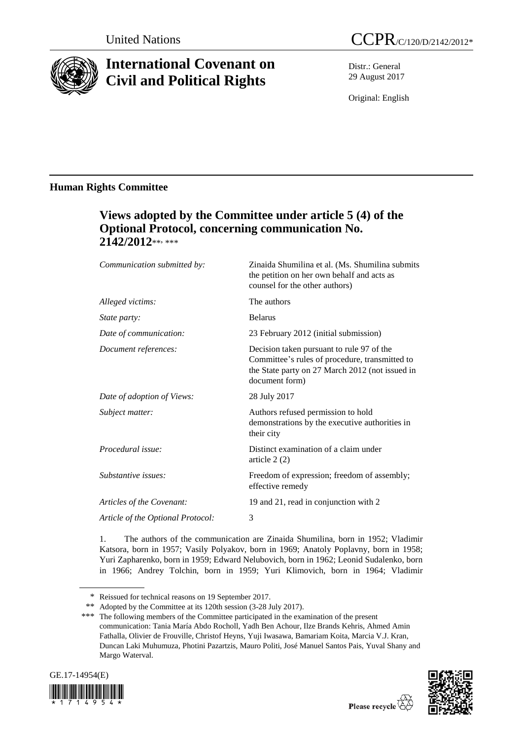

# **International Covenant on Civil and Political Rights**

Distr.: General 29 August 2017

Original: English

### **Human Rights Committee**

## **Views adopted by the Committee under article 5 (4) of the Optional Protocol, concerning communication No.**  2142/2012\*\*<sub>\*\*\*</sub>

| Communication submitted by:       | Zinaida Shumilina et al. (Ms. Shumilina submits<br>the petition on her own behalf and acts as<br>counsel for the other authors)                                  |
|-----------------------------------|------------------------------------------------------------------------------------------------------------------------------------------------------------------|
| Alleged victims:                  | The authors                                                                                                                                                      |
| <i>State party:</i>               | <b>Belarus</b>                                                                                                                                                   |
| Date of communication:            | 23 February 2012 (initial submission)                                                                                                                            |
| Document references:              | Decision taken pursuant to rule 97 of the<br>Committee's rules of procedure, transmitted to<br>the State party on 27 March 2012 (not issued in<br>document form) |
| Date of adoption of Views:        | 28 July 2017                                                                                                                                                     |
| Subject matter:                   | Authors refused permission to hold<br>demonstrations by the executive authorities in<br>their city                                                               |
| Procedural issue:                 | Distinct examination of a claim under<br>article $2(2)$                                                                                                          |
| Substantive issues:               | Freedom of expression; freedom of assembly;<br>effective remedy                                                                                                  |
| Articles of the Covenant:         | 19 and 21, read in conjunction with 2                                                                                                                            |
| Article of the Optional Protocol: | 3                                                                                                                                                                |
|                                   |                                                                                                                                                                  |

1. The authors of the communication are Zinaida Shumilina, born in 1952; Vladimir Katsora, born in 1957; Vasily Polyakov, born in 1969; Anatoly Poplavny, born in 1958; Yuri Zapharenko, born in 1959; Edward Nelubovich, born in 1962; Leonid Sudalenko, born in 1966; Andrey Tolchin, born in 1959; Yuri Klimovich, born in 1964; Vladimir

<sup>\*\*\*</sup> The following members of the Committee participated in the examination of the present communication: Tania María Abdo Rocholl, Yadh Ben Achour, Ilze Brands Kehris, Ahmed Amin Fathalla, Olivier de Frouville, Christof Heyns, Yuji Iwasawa, Bamariam Koita, Marcia V.J. Kran, Duncan Laki Muhumuza, Photini Pazartzis, Mauro Politi, José Manuel Santos Pais, Yuval Shany and Margo Waterval.





<sup>\*</sup> Reissued for technical reasons on 19 September 2017.

<sup>\*\*</sup> Adopted by the Committee at its 120th session (3-28 July 2017).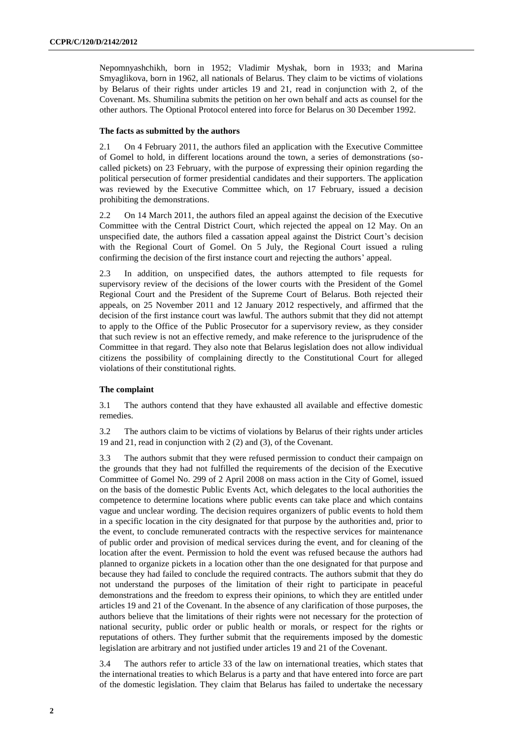Nepomnyashchikh, born in 1952; Vladimir Myshak, born in 1933; and Marina Smyaglikova, born in 1962, all nationals of Belarus. They claim to be victims of violations by Belarus of their rights under articles 19 and 21, read in conjunction with 2, of the Covenant. Ms. Shumilina submits the petition on her own behalf and acts as counsel for the other authors. The Optional Protocol entered into force for Belarus on 30 December 1992.

#### **The facts as submitted by the authors**

2.1 On 4 February 2011, the authors filed an application with the Executive Committee of Gomel to hold, in different locations around the town, a series of demonstrations (socalled pickets) on 23 February, with the purpose of expressing their opinion regarding the political persecution of former presidential candidates and their supporters. The application was reviewed by the Executive Committee which, on 17 February, issued a decision prohibiting the demonstrations.

2.2 On 14 March 2011, the authors filed an appeal against the decision of the Executive Committee with the Central District Court, which rejected the appeal on 12 May. On an unspecified date, the authors filed a cassation appeal against the District Court's decision with the Regional Court of Gomel. On 5 July, the Regional Court issued a ruling confirming the decision of the first instance court and rejecting the authors' appeal.

2.3 In addition, on unspecified dates, the authors attempted to file requests for supervisory review of the decisions of the lower courts with the President of the Gomel Regional Court and the President of the Supreme Court of Belarus. Both rejected their appeals, on 25 November 2011 and 12 January 2012 respectively, and affirmed that the decision of the first instance court was lawful. The authors submit that they did not attempt to apply to the Office of the Public Prosecutor for a supervisory review, as they consider that such review is not an effective remedy, and make reference to the jurisprudence of the Committee in that regard. They also note that Belarus legislation does not allow individual citizens the possibility of complaining directly to the Constitutional Court for alleged violations of their constitutional rights.

#### **The complaint**

3.1 The authors contend that they have exhausted all available and effective domestic remedies.

3.2 The authors claim to be victims of violations by Belarus of their rights under articles 19 and 21, read in conjunction with 2 (2) and (3), of the Covenant.

3.3 The authors submit that they were refused permission to conduct their campaign on the grounds that they had not fulfilled the requirements of the decision of the Executive Committee of Gomel No. 299 of 2 April 2008 on mass action in the City of Gomel, issued on the basis of the domestic Public Events Act, which delegates to the local authorities the competence to determine locations where public events can take place and which contains vague and unclear wording. The decision requires organizers of public events to hold them in a specific location in the city designated for that purpose by the authorities and, prior to the event, to conclude remunerated contracts with the respective services for maintenance of public order and provision of medical services during the event, and for cleaning of the location after the event. Permission to hold the event was refused because the authors had planned to organize pickets in a location other than the one designated for that purpose and because they had failed to conclude the required contracts. The authors submit that they do not understand the purposes of the limitation of their right to participate in peaceful demonstrations and the freedom to express their opinions, to which they are entitled under articles 19 and 21 of the Covenant. In the absence of any clarification of those purposes, the authors believe that the limitations of their rights were not necessary for the protection of national security, public order or public health or morals, or respect for the rights or reputations of others. They further submit that the requirements imposed by the domestic legislation are arbitrary and not justified under articles 19 and 21 of the Covenant.

3.4 The authors refer to article 33 of the law on international treaties, which states that the international treaties to which Belarus is a party and that have entered into force are part of the domestic legislation. They claim that Belarus has failed to undertake the necessary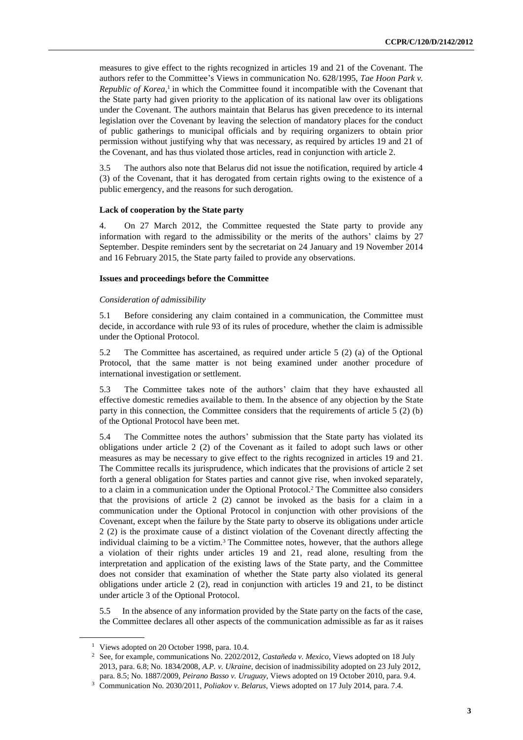measures to give effect to the rights recognized in articles 19 and 21 of the Covenant. The authors refer to the Committee's Views in communication No. 628/1995, *Tae Hoon Park v. Republic of Korea*,<sup>1</sup> in which the Committee found it incompatible with the Covenant that the State party had given priority to the application of its national law over its obligations under the Covenant. The authors maintain that Belarus has given precedence to its internal legislation over the Covenant by leaving the selection of mandatory places for the conduct of public gatherings to municipal officials and by requiring organizers to obtain prior permission without justifying why that was necessary, as required by articles 19 and 21 of the Covenant, and has thus violated those articles, read in conjunction with article 2.

3.5 The authors also note that Belarus did not issue the notification, required by article 4 (3) of the Covenant, that it has derogated from certain rights owing to the existence of a public emergency, and the reasons for such derogation.

#### **Lack of cooperation by the State party**

4. On 27 March 2012, the Committee requested the State party to provide any information with regard to the admissibility or the merits of the authors' claims by 27 September. Despite reminders sent by the secretariat on 24 January and 19 November 2014 and 16 February 2015, the State party failed to provide any observations.

#### **Issues and proceedings before the Committee**

#### *Consideration of admissibility*

5.1 Before considering any claim contained in a communication, the Committee must decide, in accordance with rule 93 of its rules of procedure, whether the claim is admissible under the Optional Protocol.

5.2 The Committee has ascertained, as required under article 5 (2) (a) of the Optional Protocol, that the same matter is not being examined under another procedure of international investigation or settlement.

5.3 The Committee takes note of the authors' claim that they have exhausted all effective domestic remedies available to them. In the absence of any objection by the State party in this connection, the Committee considers that the requirements of article 5 (2) (b) of the Optional Protocol have been met.

5.4 The Committee notes the authors' submission that the State party has violated its obligations under article 2 (2) of the Covenant as it failed to adopt such laws or other measures as may be necessary to give effect to the rights recognized in articles 19 and 21. The Committee recalls its jurisprudence, which indicates that the provisions of article 2 set forth a general obligation for States parties and cannot give rise, when invoked separately, to a claim in a communication under the Optional Protocol.<sup>2</sup> The Committee also considers that the provisions of article 2 (2) cannot be invoked as the basis for a claim in a communication under the Optional Protocol in conjunction with other provisions of the Covenant, except when the failure by the State party to observe its obligations under article 2 (2) is the proximate cause of a distinct violation of the Covenant directly affecting the individual claiming to be a victim.<sup>3</sup> The Committee notes, however, that the authors allege a violation of their rights under articles 19 and 21, read alone, resulting from the interpretation and application of the existing laws of the State party, and the Committee does not consider that examination of whether the State party also violated its general obligations under article 2 (2), read in conjunction with articles 19 and 21, to be distinct under article 3 of the Optional Protocol.

5.5 In the absence of any information provided by the State party on the facts of the case, the Committee declares all other aspects of the communication admissible as far as it raises

<sup>&</sup>lt;sup>1</sup> Views adopted on 20 October 1998, para. 10.4.

<sup>2</sup> See, for example, communications No. 2202/2012, *Castañeda v. Mexico*, Views adopted on 18 July 2013, para. 6.8; No. 1834/2008, *A.P. v. Ukraine*, decision of inadmissibility adopted on 23 July 2012, para. 8.5; No. 1887/2009, *Peirano Basso v. Uruguay*, Views adopted on 19 October 2010, para. 9.4.

<sup>3</sup> Communication No. 2030/2011, *Poliakov v. Belarus*, Views adopted on 17 July 2014, para. 7.4.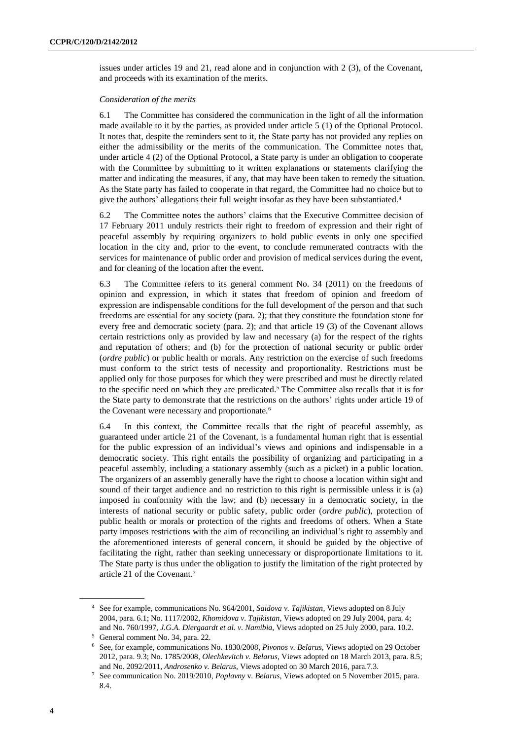issues under articles 19 and 21, read alone and in conjunction with 2 (3), of the Covenant, and proceeds with its examination of the merits.

#### *Consideration of the merits*

6.1 The Committee has considered the communication in the light of all the information made available to it by the parties, as provided under article 5 (1) of the Optional Protocol. It notes that, despite the reminders sent to it, the State party has not provided any replies on either the admissibility or the merits of the communication. The Committee notes that, under article 4 (2) of the Optional Protocol, a State party is under an obligation to cooperate with the Committee by submitting to it written explanations or statements clarifying the matter and indicating the measures, if any, that may have been taken to remedy the situation. As the State party has failed to cooperate in that regard, the Committee had no choice but to give the authors' allegations their full weight insofar as they have been substantiated. $4$ 

6.2 The Committee notes the authors' claims that the Executive Committee decision of 17 February 2011 unduly restricts their right to freedom of expression and their right of peaceful assembly by requiring organizers to hold public events in only one specified location in the city and, prior to the event, to conclude remunerated contracts with the services for maintenance of public order and provision of medical services during the event, and for cleaning of the location after the event.

6.3 The Committee refers to its general comment No. 34 (2011) on the freedoms of opinion and expression, in which it states that freedom of opinion and freedom of expression are indispensable conditions for the full development of the person and that such freedoms are essential for any society (para. 2); that they constitute the foundation stone for every free and democratic society (para. 2); and that article 19 (3) of the Covenant allows certain restrictions only as provided by law and necessary (a) for the respect of the rights and reputation of others; and (b) for the protection of national security or public order (*ordre public*) or public health or morals. Any restriction on the exercise of such freedoms must conform to the strict tests of necessity and proportionality. Restrictions must be applied only for those purposes for which they were prescribed and must be directly related to the specific need on which they are predicated.<sup>5</sup> The Committee also recalls that it is for the State party to demonstrate that the restrictions on the authors' rights under article 19 of the Covenant were necessary and proportionate.<sup>6</sup>

6.4 In this context, the Committee recalls that the right of peaceful assembly, as guaranteed under article 21 of the Covenant, is a fundamental human right that is essential for the public expression of an individual's views and opinions and indispensable in a democratic society. This right entails the possibility of organizing and participating in a peaceful assembly, including a stationary assembly (such as a picket) in a public location. The organizers of an assembly generally have the right to choose a location within sight and sound of their target audience and no restriction to this right is permissible unless it is (a) imposed in conformity with the law; and (b) necessary in a democratic society, in the interests of national security or public safety, public order (*ordre public*), protection of public health or morals or protection of the rights and freedoms of others. When a State party imposes restrictions with the aim of reconciling an individual's right to assembly and the aforementioned interests of general concern, it should be guided by the objective of facilitating the right, rather than seeking unnecessary or disproportionate limitations to it. The State party is thus under the obligation to justify the limitation of the right protected by article 21 of the Covenant.<sup>7</sup>

<sup>4</sup> See for example, communications No. 964/2001, *Saidova v. Tajikistan*, Views adopted on 8 July 2004, para. 6.1; No. 1117/2002, *Khomidova v. Tajikistan*, Views adopted on 29 July 2004, para. 4; and No. 760/1997, *J.G.A. Diergaardt et al. v. Namibia*, Views adopted on 25 July 2000, para. 10.2.

<sup>5</sup> General comment No. 34, para. 22.

<sup>6</sup> See, for example, communications No. 1830/2008, *Pivonos v. Belarus*, Views adopted on 29 October 2012, para. 9.3; No. 1785/2008, *Olechkevitch v. Belarus*, Views adopted on 18 March 2013, para. 8.5; and No. 2092/2011, *Androsenko v. Belarus*, Views adopted on 30 March 2016, para.7.3.

<sup>7</sup> See communication No. 2019/2010, *Poplavny* v. *Belarus*, Views adopted on 5 November 2015, para. 8.4.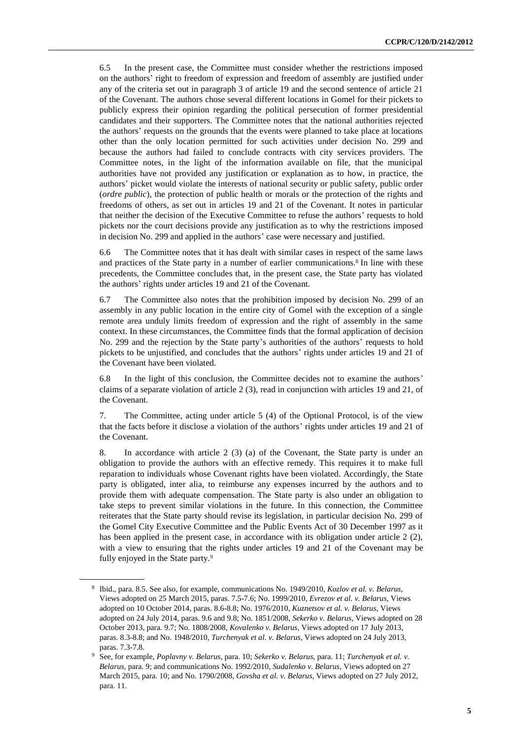6.5 In the present case, the Committee must consider whether the restrictions imposed on the authors' right to freedom of expression and freedom of assembly are justified under any of the criteria set out in paragraph 3 of article 19 and the second sentence of article 21 of the Covenant. The authors chose several different locations in Gomel for their pickets to publicly express their opinion regarding the political persecution of former presidential candidates and their supporters. The Committee notes that the national authorities rejected the authors' requests on the grounds that the events were planned to take place at locations other than the only location permitted for such activities under decision No. 299 and because the authors had failed to conclude contracts with city services providers. The Committee notes, in the light of the information available on file, that the municipal authorities have not provided any justification or explanation as to how, in practice, the authors' picket would violate the interests of national security or public safety, public order (*ordre public*), the protection of public health or morals or the protection of the rights and freedoms of others, as set out in articles 19 and 21 of the Covenant. It notes in particular that neither the decision of the Executive Committee to refuse the authors' requests to hold pickets nor the court decisions provide any justification as to why the restrictions imposed in decision No. 299 and applied in the authors' case were necessary and justified.

6.6 The Committee notes that it has dealt with similar cases in respect of the same laws and practices of the State party in a number of earlier communications.<sup>8</sup> In line with these precedents, the Committee concludes that, in the present case, the State party has violated the authors' rights under articles 19 and 21 of the Covenant.

6.7 The Committee also notes that the prohibition imposed by decision No. 299 of an assembly in any public location in the entire city of Gomel with the exception of a single remote area unduly limits freedom of expression and the right of assembly in the same context. In these circumstances, the Committee finds that the formal application of decision No. 299 and the rejection by the State party's authorities of the authors' requests to hold pickets to be unjustified, and concludes that the authors' rights under articles 19 and 21 of the Covenant have been violated.

6.8 In the light of this conclusion, the Committee decides not to examine the authors' claims of a separate violation of article 2 (3), read in conjunction with articles 19 and 21, of the Covenant.

7. The Committee, acting under article 5 (4) of the Optional Protocol, is of the view that the facts before it disclose a violation of the authors' rights under articles 19 and 21 of the Covenant.

8. In accordance with article 2 (3) (a) of the Covenant, the State party is under an obligation to provide the authors with an effective remedy. This requires it to make full reparation to individuals whose Covenant rights have been violated. Accordingly, the State party is obligated, inter alia, to reimburse any expenses incurred by the authors and to provide them with adequate compensation. The State party is also under an obligation to take steps to prevent similar violations in the future. In this connection, the Committee reiterates that the State party should revise its legislation, in particular decision No. 299 of the Gomel City Executive Committee and the Public Events Act of 30 December 1997 as it has been applied in the present case, in accordance with its obligation under article 2 (2), with a view to ensuring that the rights under articles 19 and 21 of the Covenant may be fully enjoyed in the State party.<sup>9</sup>

<sup>8</sup> Ibid., para. 8.5. See also, for example, communications No. 1949/2010, *Kozlov et al. v. Belarus*, Views adopted on 25 March 2015, paras. 7.5-7.6; No. 1999/2010, *Evrezov et al. v. Belarus*, Views adopted on 10 October 2014, paras. 8.6-8.8; No. 1976/2010, *Kuznetsov et al. v. Belarus*, Views adopted on 24 July 2014, paras. 9.6 and 9.8; No. 1851/2008, *Sekerko v. Belarus*, Views adopted on 28 October 2013, para. 9.7; No. 1808/2008, *Kovalenko v. Belarus*, Views adopted on 17 July 2013, paras. 8.3-8.8; and No. 1948/2010, *Turchenyak et al. v. Belarus*, Views adopted on 24 July 2013, paras. 7.3-7.8.

<sup>9</sup> See, for example, *Poplavny v. Belarus*, para. 10; *Sekerko v. Belarus*, para. 11; *Turchenyak et al. v. Belarus*, para. 9; and communications No. 1992/2010, *Sudalenko v. Belarus*, Views adopted on 27 March 2015, para. 10; and No. 1790/2008, *Govsha et al. v. Belarus*, Views adopted on 27 July 2012, para. 11.